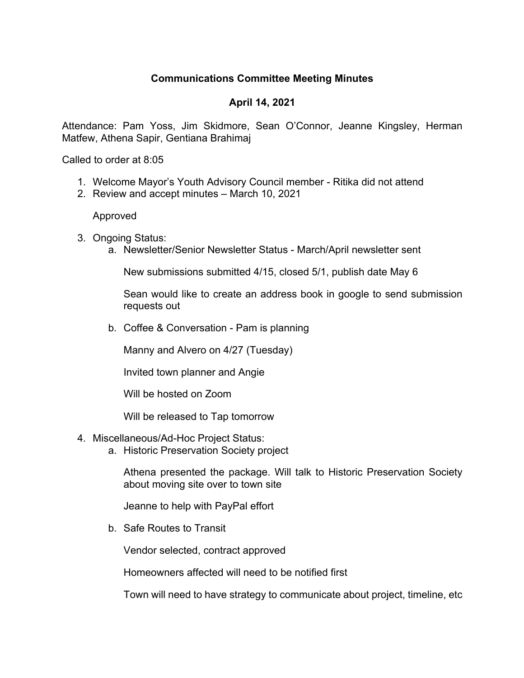## **Communications Committee Meeting Minutes**

## **April 14, 2021**

Attendance: Pam Yoss, Jim Skidmore, Sean O'Connor, Jeanne Kingsley, Herman Matfew, Athena Sapir, Gentiana Brahimaj

Called to order at 8:05

- 1. Welcome Mayor's Youth Advisory Council member Ritika did not attend
- 2. Review and accept minutes March 10, 2021

Approved

- 3. Ongoing Status:
	- a. Newsletter/Senior Newsletter Status March/April newsletter sent

New submissions submitted 4/15, closed 5/1, publish date May 6

Sean would like to create an address book in google to send submission requests out

b. Coffee & Conversation - Pam is planning

Manny and Alvero on 4/27 (Tuesday)

Invited town planner and Angie

Will be hosted on Zoom

Will be released to Tap tomorrow

- 4. Miscellaneous/Ad-Hoc Project Status:
	- a. Historic Preservation Society project

Athena presented the package. Will talk to Historic Preservation Society about moving site over to town site

Jeanne to help with PayPal effort

b. Safe Routes to Transit

Vendor selected, contract approved

Homeowners affected will need to be notified first

Town will need to have strategy to communicate about project, timeline, etc